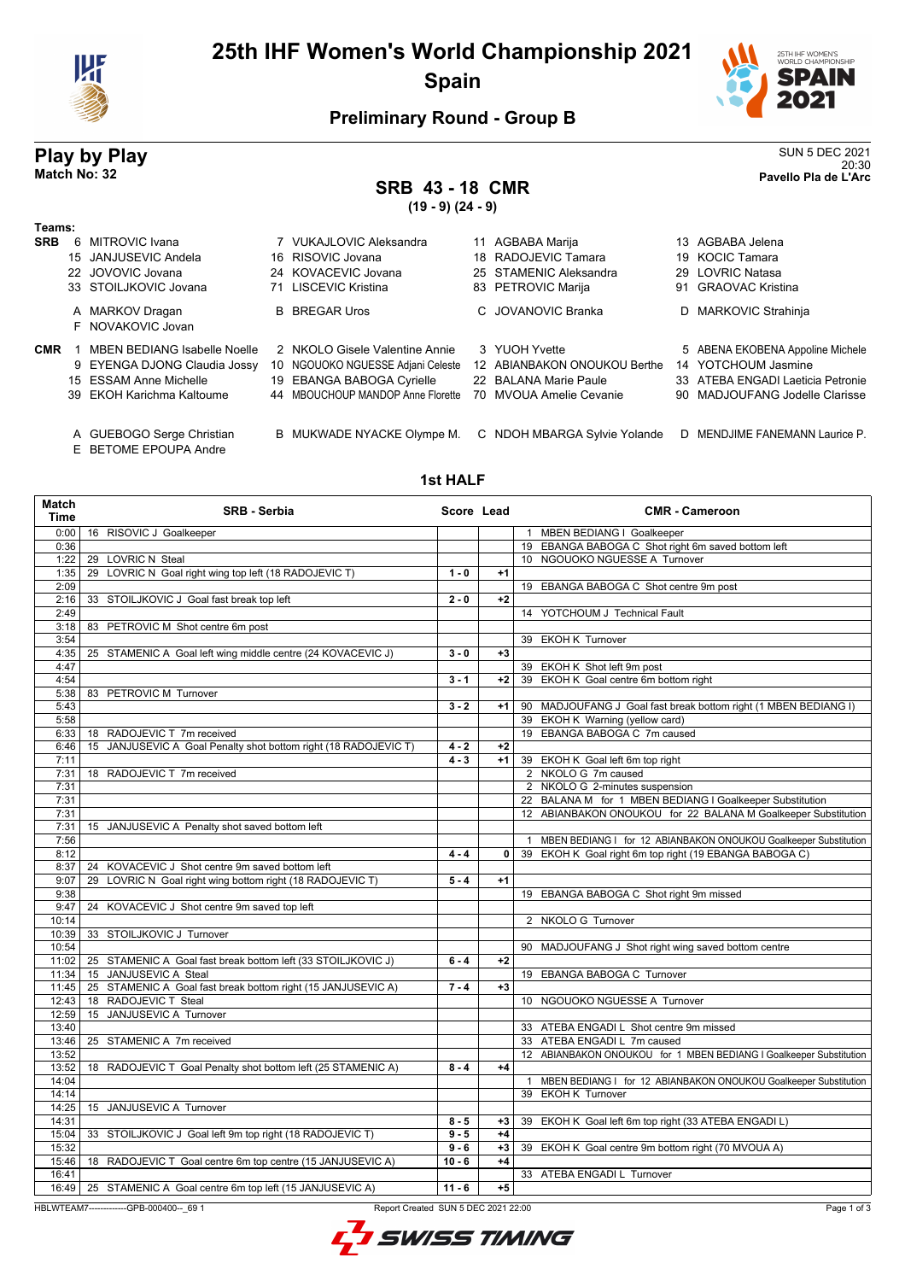

## **25th IHF Women's World Championship 2021 Spain**



20:30 **Match No: 32 Pavello Pla de L'Arc**

### **Preliminary Round - Group B**

# **Play by Play**<br>Match No: 32<br>Pavello Pla de L'Arc

## **SRB 43 - 18 CMR**

**(19 - 9) (24 - 9)**

| Teams:     |   |                                                    |    |                                   |                              |                                   |
|------------|---|----------------------------------------------------|----|-----------------------------------|------------------------------|-----------------------------------|
| <b>SRB</b> | 6 | MITROVIC Ivana                                     |    | 7 VUKAJLOVIC Aleksandra           | 11 AGBABA Marija             | 13 AGBABA Jelena                  |
|            |   | 15 JANJUSEVIC Andela                               |    | 16 RISOVIC Jovana                 | 18 RADOJEVIC Tamara          | 19 KOCIC Tamara                   |
|            |   | 22 JOVOVIC Jovana                                  |    | 24 KOVACEVIC Jovana               | 25 STAMENIC Aleksandra       | 29 LOVRIC Natasa                  |
|            |   | 33 STOILJKOVIC Jovana                              | 71 | LISCEVIC Kristina                 | 83 PETROVIC Marija           | 91 GRAOVAC Kristina               |
|            |   | A MARKOV Dragan                                    |    | <b>B</b> BREGAR Uros              | C. JOVANOVIC Branka          | D MARKOVIC Strahinja              |
|            |   | F NOVAKOVIC Jovan                                  |    |                                   |                              |                                   |
| <b>CMR</b> |   | <b>MBEN BEDIANG Isabelle Noelle</b>                |    | 2 NKOLO Gisele Valentine Annie    | 3 YUOH Yvette                | 5 ABENA EKOBENA Appoline Michele  |
|            |   | 9 EYENGA DJONG Claudia Jossy                       |    | 10 NGOUOKO NGUESSE Adjani Celeste | 12 ABIANBAKON ONOUKOU Berthe | 14 YOTCHOUM Jasmine               |
|            |   | 15 ESSAM Anne Michelle                             |    | 19 EBANGA BABOGA Cyrielle         | 22 BALANA Marie Paule        | 33 ATEBA ENGADI Laeticia Petronie |
|            |   | 39 EKOH Karichma Kaltoume                          |    | 44 MBOUCHOUP MANDOP Anne Florette | 70 MVOUA Amelie Cevanie      | 90 MADJOUFANG Jodelle Clarisse    |
|            |   | A GUEBOGO Serge Christian<br>E BETOME EPOUPA Andre |    | B MUKWADE NYACKE Olympe M.        | C NDOH MBARGA Sylvie Yolande | D MENDJIME FANEMANN Laurice P.    |

#### **1st HALF**

| Match<br>Time | <b>SRB - Serbia</b>                                             | Score Lead |      | <b>CMR - Cameroon</b>                                              |
|---------------|-----------------------------------------------------------------|------------|------|--------------------------------------------------------------------|
| 0:00          | 16 RISOVIC J Goalkeeper                                         |            |      | 1 MBEN BEDIANG I Goalkeeper                                        |
| 0:36          |                                                                 |            |      | 19 EBANGA BABOGA C Shot right 6m saved bottom left                 |
| 1:22          | 29 LOVRIC N Steal                                               |            |      | 10 NGOUOKO NGUESSE A Turnover                                      |
| 1:35          | 29 LOVRIC N Goal right wing top left (18 RADOJEVIC T)           | $1 - 0$    | $+1$ |                                                                    |
| 2:09          |                                                                 |            |      | 19 EBANGA BABOGA C Shot centre 9m post                             |
| 2:16          | 33 STOILJKOVIC J Goal fast break top left                       | $2 - 0$    | $+2$ |                                                                    |
| 2:49          |                                                                 |            |      | 14 YOTCHOUM J Technical Fault                                      |
| 3:18          | 83 PETROVIC M Shot centre 6m post                               |            |      |                                                                    |
| 3:54          |                                                                 |            |      | 39 EKOH K Turnover                                                 |
| 4:35          | 25 STAMENIC A Goal left wing middle centre (24 KOVACEVIC J)     | $3 - 0$    | $+3$ |                                                                    |
| 4:47          |                                                                 |            |      | 39 EKOH K Shot left 9m post                                        |
| 4:54          |                                                                 | $3 - 1$    | $+2$ | 39 EKOH K Goal centre 6m bottom right                              |
| 5:38          | 83 PETROVIC M Turnover                                          |            |      |                                                                    |
| 5:43          |                                                                 | $3 - 2$    | $+1$ | 90 MADJOUFANG J Goal fast break bottom right (1 MBEN BEDIANG I)    |
| 5:58          |                                                                 |            |      | 39 EKOH K Warning (yellow card)                                    |
| 6:33          | 18 RADOJEVIC T 7m received                                      |            |      | 19 EBANGA BABOGA C 7m caused                                       |
| 6:46          | 15 JANJUSEVIC A Goal Penalty shot bottom right (18 RADOJEVIC T) | $4 - 2$    | $+2$ |                                                                    |
| 7:11          |                                                                 | $4 - 3$    | $+1$ | 39 EKOH K Goal left 6m top right                                   |
| 7:31          | 18 RADOJEVIC T 7m received                                      |            |      | 2 NKOLO G 7m caused                                                |
| 7:31          |                                                                 |            |      | 2 NKOLO G 2-minutes suspension                                     |
| 7:31          |                                                                 |            |      | 22 BALANA M for 1 MBEN BEDIANG I Goalkeeper Substitution           |
| 7:31          |                                                                 |            |      | 12 ABIANBAKON ONOUKOU for 22 BALANA M Goalkeeper Substitution      |
| 7:31          | 15 JANJUSEVIC A Penalty shot saved bottom left                  |            |      |                                                                    |
| 7:56          |                                                                 |            |      | 1 MBEN BEDIANG I for 12 ABIANBAKON ONOUKOU Goalkeeper Substitution |
| 8:12          |                                                                 | $4 - 4$    |      | 0 39 EKOH K Goal right 6m top right (19 EBANGA BABOGA C)           |
| 8:37          | 24 KOVACEVIC J Shot centre 9m saved bottom left                 |            |      |                                                                    |
| 9:07          | 29 LOVRIC N Goal right wing bottom right (18 RADOJEVIC T)       | $5 - 4$    | $+1$ |                                                                    |
| 9:38          |                                                                 |            |      | 19 EBANGA BABOGA C Shot right 9m missed                            |
| 9:47          | KOVACEVIC J Shot centre 9m saved top left<br>24                 |            |      |                                                                    |
| 10:14         |                                                                 |            |      | 2 NKOLO G Turnover                                                 |
| 10:39         | 33 STOILJKOVIC J Turnover                                       |            |      |                                                                    |
| 10:54         |                                                                 |            |      | 90 MADJOUFANG J Shot right wing saved bottom centre                |
| 11:02         | 25 STAMENIC A Goal fast break bottom left (33 STOILJKOVIC J)    | $6 - 4$    | $+2$ |                                                                    |
| 11:34         | 15 JANJUSEVIC A Steal                                           |            |      | 19 EBANGA BABOGA C Turnover                                        |
| 11:45         | 25 STAMENIC A Goal fast break bottom right (15 JANJUSEVIC A)    | $7 - 4$    | $+3$ |                                                                    |
| 12:43         | 18 RADOJEVIC T Steal                                            |            |      | 10 NGOUOKO NGUESSE A Turnover                                      |
| 12:59         | 15 JANJUSEVIC A Turnover                                        |            |      |                                                                    |
| 13:40         |                                                                 |            |      | 33 ATEBA ENGADI L Shot centre 9m missed                            |
| 13:46         | 25 STAMENIC A 7m received                                       |            |      | 33 ATEBA ENGADI L 7m caused                                        |
| 13:52         |                                                                 |            |      | 12 ABIANBAKON ONOUKOU for 1 MBEN BEDIANG I Goalkeeper Substitution |
| 13:52         | 18 RADOJEVIC T Goal Penalty shot bottom left (25 STAMENIC A)    | $8 - 4$    | $+4$ |                                                                    |
| 14:04         |                                                                 |            |      | 1 MBEN BEDIANG I for 12 ABIANBAKON ONOUKOU Goalkeeper Substitution |
| 14:14         |                                                                 |            |      | 39 EKOH K Turnover                                                 |
| 14:25         | 15 JANJUSEVIC A Turnover                                        |            |      |                                                                    |
| 14:31         |                                                                 | $8 - 5$    | $+3$ | 39 EKOH K Goal left 6m top right (33 ATEBA ENGADI L)               |
| 15:04         | 33 STOILJKOVIC J Goal left 9m top right (18 RADOJEVIC T)        | $9 - 5$    | $+4$ |                                                                    |
| 15:32         |                                                                 | $9 - 6$    | $+3$ | 39 EKOH K Goal centre 9m bottom right (70 MVOUA A)                 |
| 15:46         | 18 RADOJEVIC T Goal centre 6m top centre (15 JANJUSEVIC A)      | $10 - 6$   | $+4$ |                                                                    |
| 16:41         |                                                                 |            |      | 33 ATEBA ENGADI L Turnover                                         |
|               |                                                                 | $11 - 6$   | $+5$ |                                                                    |
| 16:49         | 25 STAMENIC A Goal centre 6m top left (15 JANJUSEVIC A)         |            |      |                                                                    |

HBLWTEAM7-------------GPB-000400--\_69 1 Report Created SUN 5 DEC 2021 22:00

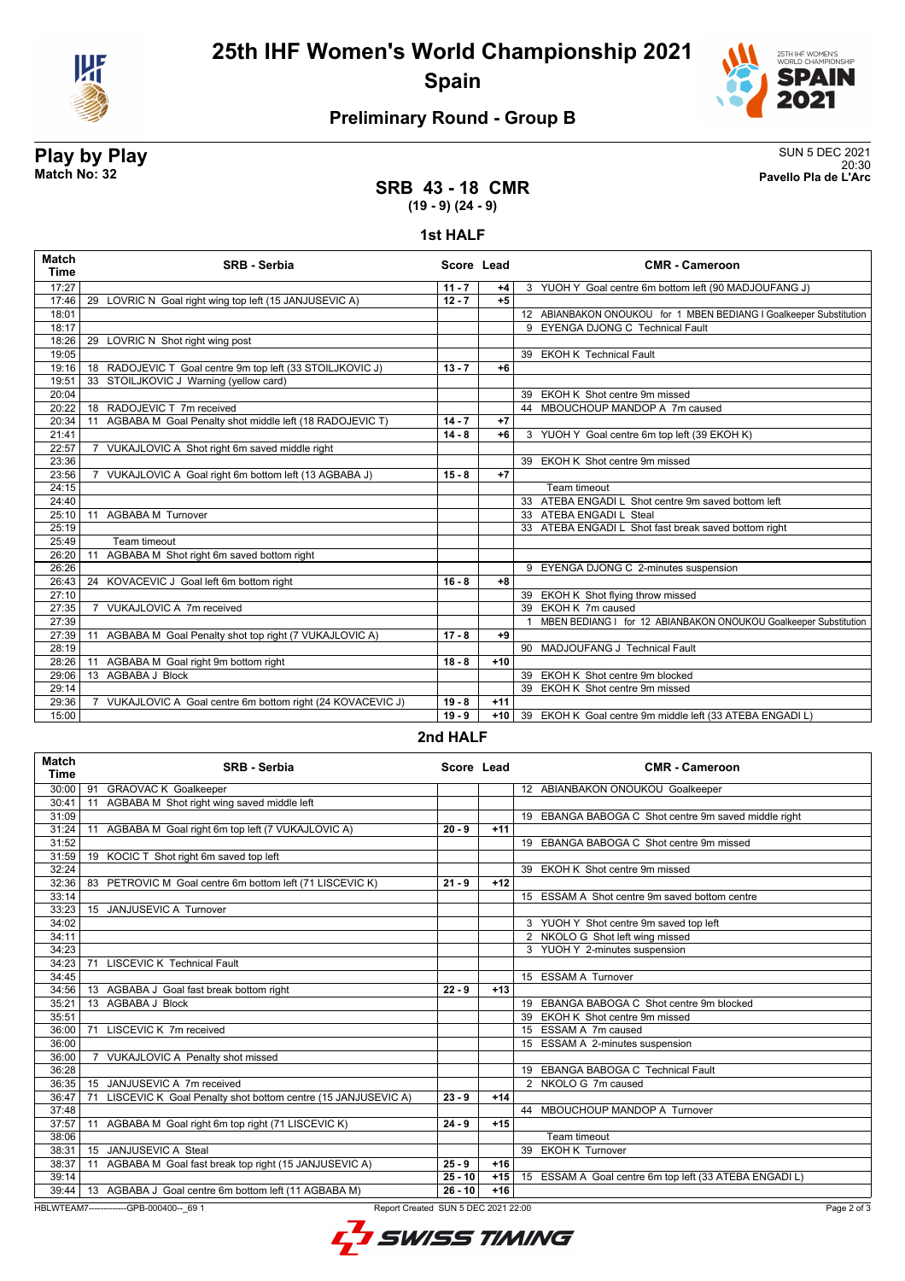

## **25th IHF Women's World Championship 2021 Spain**



### **Preliminary Round - Group B**

# **Play by Play**<br>Match No: 32<br>Pavello Pla de L'Arc

20:30 **Match No: 32 Pavello Pla de L'Arc**

### **SRB 43 - 18 CMR (19 - 9) (24 - 9)**

#### **1st HALF**

| <b>Match</b><br><b>Time</b> | <b>SRB</b> - Serbia                                                         | Score Lead |       | <b>CMR - Cameroon</b>                                              |
|-----------------------------|-----------------------------------------------------------------------------|------------|-------|--------------------------------------------------------------------|
| 17:27                       |                                                                             | $11 - 7$   | +4    | 3 YUOH Y Goal centre 6m bottom left (90 MADJOUFANG J)              |
| 17:46                       | 29 LOVRIC N Goal right wing top left (15 JANJUSEVIC A)                      | $12 - 7$   | $+5$  |                                                                    |
| 18:01                       |                                                                             |            |       | 12 ABIANBAKON ONOUKOU for 1 MBEN BEDIANG I Goalkeeper Substitution |
| 18:17                       |                                                                             |            |       | 9 EYENGA DJONG C Technical Fault                                   |
| 18:26                       | LOVRIC N Shot right wing post<br>29                                         |            |       |                                                                    |
| 19:05                       |                                                                             |            |       | 39 EKOH K Technical Fault                                          |
| 19:16                       | 18 RADOJEVIC T Goal centre 9m top left (33 STOILJKOVIC J)                   | $13 - 7$   | $+6$  |                                                                    |
| 19:51                       | 33 STOILJKOVIC J Warning (yellow card)                                      |            |       |                                                                    |
| 20:04                       |                                                                             |            |       | 39 EKOH K Shot centre 9m missed                                    |
| 20:22                       | 18 RADOJEVIC T 7m received                                                  |            |       | 44 MBOUCHOUP MANDOP A 7m caused                                    |
| 20:34                       | AGBABA M Goal Penalty shot middle left (18 RADOJEVIC T)<br>11               | $14 - 7$   | $+7$  |                                                                    |
| 21:41                       |                                                                             | $14 - 8$   | $+6$  | 3 YUOH Y Goal centre 6m top left (39 EKOH K)                       |
| 22:57                       | VUKAJLOVIC A Shot right 6m saved middle right                               |            |       |                                                                    |
| 23:36                       |                                                                             |            |       | 39 EKOH K Shot centre 9m missed                                    |
| 23:56                       | 7 VUKAJLOVIC A Goal right 6m bottom left (13 AGBABA J)                      | $15 - 8$   | $+7$  |                                                                    |
| 24:15                       |                                                                             |            |       | Team timeout                                                       |
| 24:40                       |                                                                             |            |       | 33 ATEBA ENGADI L Shot centre 9m saved bottom left                 |
| 25:10                       | 11 AGBABA M Turnover                                                        |            |       | 33 ATEBA ENGADI L Steal                                            |
| 25:19                       |                                                                             |            |       | 33 ATEBA ENGADI L Shot fast break saved bottom right               |
| 25:49                       | Team timeout                                                                |            |       |                                                                    |
| 26:20                       | AGBABA M Shot right 6m saved bottom right<br>11                             |            |       |                                                                    |
| 26:26                       |                                                                             |            |       | 9 EYENGA DJONG C 2-minutes suspension                              |
| 26:43                       | 24 KOVACEVIC J Goal left 6m bottom right                                    | $16 - 8$   | $+8$  |                                                                    |
| 27:10                       |                                                                             |            |       | 39 EKOH K Shot flying throw missed                                 |
| 27:35                       | 7 VUKAJLOVIC A 7m received                                                  |            |       | 39 EKOH K 7m caused                                                |
| 27:39                       |                                                                             |            |       | MBEN BEDIANG I for 12 ABIANBAKON ONOUKOU Goalkeeper Substitution   |
| 27:39                       | AGBABA M Goal Penalty shot top right (7 VUKAJLOVIC A)<br>11                 | $17 - 8$   | $+9$  |                                                                    |
| 28:19                       |                                                                             |            |       | 90 MADJOUFANG J Technical Fault                                    |
| 28:26                       | AGBABA M Goal right 9m bottom right<br>11                                   | $18 - 8$   | $+10$ |                                                                    |
| 29:06                       | 13 AGBABA J Block                                                           |            |       | 39 EKOH K Shot centre 9m blocked                                   |
| 29:14                       |                                                                             |            |       | 39 EKOH K Shot centre 9m missed                                    |
| 29:36                       | VUKAJLOVIC A Goal centre 6m bottom right (24 KOVACEVIC J)<br>$\overline{7}$ | $19 - 8$   | $+11$ |                                                                    |
| 15:00                       |                                                                             | $19 - 9$   | $+10$ | 39 EKOH K Goal centre 9m middle left (33 ATEBA ENGADI L)           |

#### **2nd HALF**

| <b>Match</b><br>Time | <b>SRB - Serbia</b>                                                            | Score Lead |       | <b>CMR - Cameroon</b>                                  |
|----------------------|--------------------------------------------------------------------------------|------------|-------|--------------------------------------------------------|
| 30:00                | <b>GRAOVAC K Goalkeeper</b><br>91                                              |            |       | 12 ABIANBAKON ONOUKOU Goalkeeper                       |
| 30:41                | AGBABA M Shot right wing saved middle left<br>11                               |            |       |                                                        |
| 31:09                |                                                                                |            |       | 19 EBANGA BABOGA C Shot centre 9m saved middle right   |
| 31:24                | AGBABA M Goal right 6m top left (7 VUKAJLOVIC A)<br>11                         | $20 - 9$   | $+11$ |                                                        |
| 31:52                |                                                                                |            |       | 19 EBANGA BABOGA C Shot centre 9m missed               |
| 31:59                | 19 KOCIC T Shot right 6m saved top left                                        |            |       |                                                        |
| 32:24                |                                                                                |            |       | 39 EKOH K Shot centre 9m missed                        |
| 32:36                | 83 PETROVIC M Goal centre 6m bottom left (71 LISCEVIC K)                       | $21 - 9$   | $+12$ |                                                        |
| 33:14                |                                                                                |            |       | 15 ESSAM A Shot centre 9m saved bottom centre          |
| 33:23                | 15 JANJUSEVIC A Turnover                                                       |            |       |                                                        |
| 34:02                |                                                                                |            |       | 3 YUOH Y Shot centre 9m saved top left                 |
| 34:11                |                                                                                |            |       | 2 NKOLO G Shot left wing missed                        |
| 34:23                |                                                                                |            |       | 3 YUOH Y 2-minutes suspension                          |
| 34:23                | <b>LISCEVIC K Technical Fault</b><br>71                                        |            |       |                                                        |
| 34:45                |                                                                                |            |       | 15 ESSAM A Turnover                                    |
| 34:56                | 13 AGBABA J Goal fast break bottom right                                       | $22 - 9$   | $+13$ |                                                        |
| 35:21                | 13 AGBABA J Block                                                              |            |       | 19 EBANGA BABOGA C Shot centre 9m blocked              |
| 35:51                |                                                                                |            |       | <b>EKOH K</b> Shot centre 9m missed<br>39              |
| 36:00                | LISCEVIC K 7m received<br>71                                                   |            |       | 15 ESSAM A 7m caused                                   |
| 36:00                |                                                                                |            |       | 15 ESSAM A 2-minutes suspension                        |
| 36:00                | 7 VUKAJLOVIC A Penalty shot missed                                             |            |       |                                                        |
| 36:28                |                                                                                |            |       | 19 EBANGA BABOGA C Technical Fault                     |
| 36:35                | JANJUSEVIC A 7m received<br>15                                                 |            |       | 2 NKOLO G 7m caused                                    |
| 36:47                | LISCEVIC K Goal Penalty shot bottom centre (15 JANJUSEVIC A)<br>71             | $23 - 9$   | $+14$ |                                                        |
| 37:48                |                                                                                |            |       | 44 MBOUCHOUP MANDOP A Turnover                         |
| 37:57                | AGBABA M Goal right 6m top right (71 LISCEVIC K)<br>11                         | $24 - 9$   | $+15$ |                                                        |
| 38:06                |                                                                                |            |       | Team timeout                                           |
| 38:31                | 15 JANJUSEVIC A Steal                                                          |            |       | <b>EKOH K Turnover</b><br>39                           |
| 38:37                | AGBABA M Goal fast break top right (15 JANJUSEVIC A)<br>11                     | $25 - 9$   | $+16$ |                                                        |
| 39:14                |                                                                                | $25 - 10$  | $+15$ | 15 ESSAM A Goal centre 6m top left (33 ATEBA ENGADI L) |
|                      | 39:44   13 AGBABA J Goal centre 6m bottom left (11 AGBABA M)                   | $26 - 10$  | $+16$ |                                                        |
|                      | HBLWTEAM7-------------GPB-000400-- 69 1<br>Report Created SUN 5 DEC 2021 22:00 |            |       | Page 2 of 3                                            |